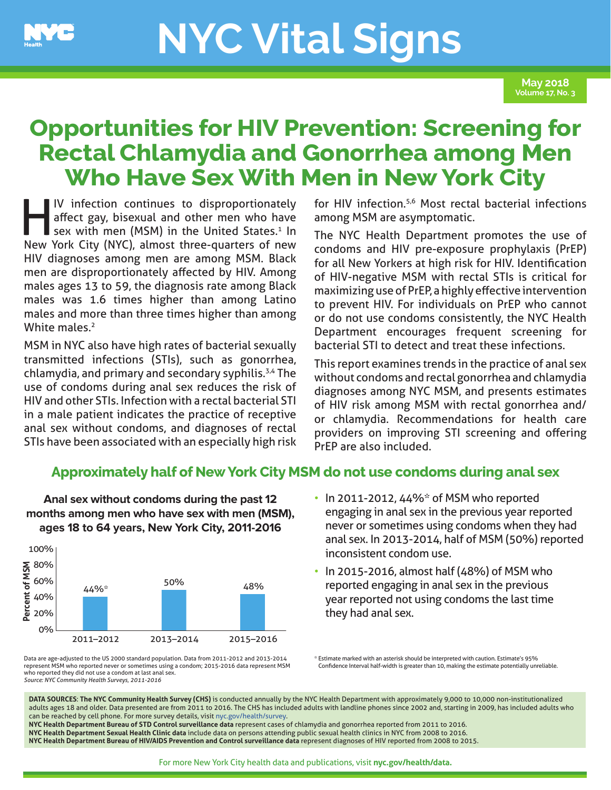

# **NYC Vital Signs**

**May 2018 Volume 17, No. 3**

# **Opportunities for HIV Prevention: Screening for Rectal Chlamydia and Gonorrhea among Men Who Have Sex With Men in New York City**

IV infection continues to disproportionately<br>affect gay, bisexual and other men who have<br>sex with men (MSM) in the United States.<sup>1</sup> In<br>Now York Gity (NYC) almost three quarters of now affect gay, bisexual and other men who have sex with men (MSM) in the United States.<sup>1</sup> In New York City (NYC), almost three-quarters of new HIV diagnoses among men are among MSM. Black men are disproportionately affected by HIV. Among males ages 13 to 59, the diagnosis rate among Black males was 1.6 times higher than among Latino males and more than three times higher than among White males.<sup>2</sup>

MSM in NYC also have high rates of bacterial sexually transmitted infections (STIs), such as gonorrhea, chlamydia, and primary and secondary syphilis.3,4 The use of condoms during anal sex reduces the risk of HIV and other STIs. Infection with a rectal bacterial STI in a male patient indicates the practice of receptive anal sex without condoms, and diagnoses of rectal STIs have been associated with an especially high risk for HIV infection.5,6 Most rectal bacterial infections among MSM are asymptomatic.

The NYC Health Department promotes the use of condoms and HIV pre-exposure prophylaxis (PrEP) for all New Yorkers at high risk for HIV. Identification of HIV-negative MSM with rectal STIs is critical for maximizing use of PrEP, a highly effective intervention to prevent HIV. For individuals on PrEP who cannot or do not use condoms consistently, the NYC Health Department encourages frequent screening for bacterial STI to detect and treat these infections.

This report examines trends in the practice of anal sex without condoms and rectal gonorrhea and chlamydia diagnoses among NYC MSM, and presents estimates of HIV risk among MSM with rectal gonorrhea and/ or chlamydia. Recommendations for health care providers on improving STI screening and offering PrEP are also included.

## **Approximately half of New York City MSM do not use condoms during anal sex**



- **Anal sex without condoms during the past 12** In **months among men who have sex with men (MSM), ages 18 to 64 years, New York City, 2011-2016** 100%
- In 2011-2012, 44%\* of MSM who reported engaging in anal sex in the previous year reported never or sometimes using condoms when they had anal sex. In 2013-2014, half of MSM (50%) reported inconsistent condom use.
	- In 2015-2016, almost half (48%) of MSM who reported engaging in anal sex in the previous year reported not using condoms the last time they had anal sex.

Data are age-adjusted to the US 2000 standard population. Data from 2011-2012 and 2013-2014 represent MSM who reported never or sometimes using a condom; 2015-2016 data represent MSM who reported they did not use a condom at last anal sex. *Source: NYC Community Health Surveys, 2011-2016*

\* Estimate marked with an asterisk should be interpreted with caution. Estimate's 95% Confidence Interval half-width is greater than 10, making the estimate potentially unreliable.

**DATA SOURCES**: **The NYC Community Health Survey (CHS)** is conducted annually by the NYC Health Department with approximately 9,000 to 10,000 non-institutionalized adults ages 18 and older. Data presented are from 2011 to 2016. The CHS has included adults with landline phones since 2002 and, starting in 2009, has included adults who can be reached by cell phone. For more survey details, visit [nyc.gov/health/survey.](http://nyc.gov/health/survey) **NYC Health Department Bureau of STD Control surveillance data** represent cases of chlamydia and gonorrhea reported from 2011 to 2016. **NYC Health Department Sexual Health Clinic data** include data on persons attending public sexual health clinics in NYC from 2008 to 2016. **NYC Health Department Bureau of HIV/AIDS Prevention and Control surveillance data** represent diagnoses of HIV reported from 2008 to 2015.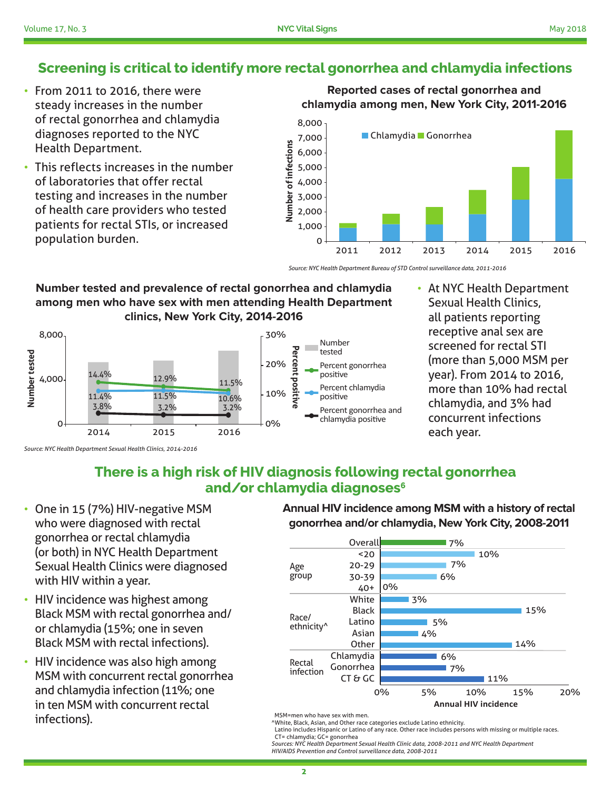# **Screening is critical to identify more rectal gonorrhea and chlamydia infections**

- From 2011 to 2016, there were steady increases in the number of rectal gonorrhea and chlamydia diagnoses reported to the NYC Health Department.
- This reflects increases in the number of laboratories that offer rectal testing and increases in the number of health care providers who tested patients for rectal STIs, or increased population burden.

#### **Reported cases of rectal gonorrhea and chlamydia among men, New York City, 2011-2016**



*Source: NYC Health Department Bureau of STD Control surveillance data, 2011-2016*

#### **Number tested and prevalence of rectal gonorrhea and chlamydia among men who have sex with men attending Health Department clinics, New York City, 2014-2016**



• At NYC Health Department Sexual Health Clinics, all patients reporting receptive anal sex are screened for rectal STI (more than 5,000 MSM per year). From 2014 to 2016, more than 10% had rectal chlamydia, and 3% had concurrent infections each year.

# **There is a high risk of HIV diagnosis following rectal gonorrhea**  and/or chlamydia diagnoses<sup>6</sup>

- One in 15 (7%) HIV-negative MSM who were diagnosed with rectal gonorrhea or rectal chlamydia (or both) in NYC Health Department Sexual Health Clinics were diagnosed with HIV within a year.
- HIV incidence was highest among Black MSM with rectal gonorrhea and/ or chlamydia (15%; one in seven Black MSM with rectal infections).
- HIV incidence was also high among MSM with concurrent rectal gonorrhea and chlamydia infection (11%; one in ten MSM with concurrent rectal MSM=men who have sex with men.<br>
<sup>^</sup>White, Black, Asian, and Other race categories exclude Latino ethnicity.

**Annual HIV incidence among MSM with a history of rectal gonorrhea and/or chlamydia, New York City, 2008-2011**



Latino includes Hispanic or Latino of any race. Other race includes persons with missing or multiple races. CT= chlamydia; GC= gonorrhea

Sources: NYC Health Department Sexual Health Clinic data, 2008-2011 and NYC Health Department<br>HIV/AIDS Prevention and Control surveillance data, 2008-2011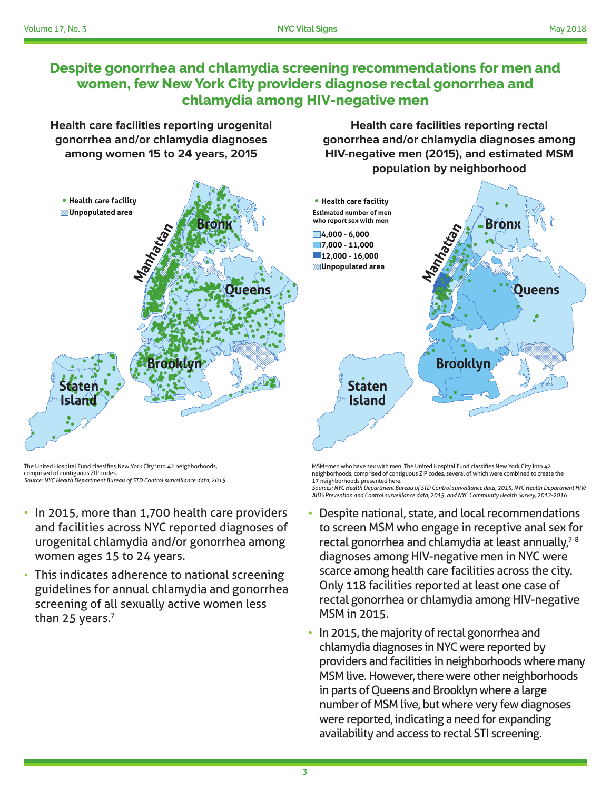### **Despite gonorrhea and chlamydia screening recommendations for men and women, few New York City providers diagnose rectal gonorrhea and chlamydia among HIV-negative men**

**Health care facilities reporting urogenital gonorrhea and/or chlamydia diagnoses among women 15 to 24 years, 2015**



The United Hospital Fund classifies New York City into 42 neighborhoods, comprised of contiguous ZIP codes. *Source: NYC Health Department Bureau of STD Control surveillance data, 2015*

- In 2015, more than 1,700 health care providers and facilities across NYC reported diagnoses of urogenital chlamydia and/or gonorrhea among women ages 15 to 24 years.
- This indicates adherence to national screening guidelines for annual chlamydia and gonorrhea screening of all sexually active women less than 25 years.<sup>7</sup>

**Health care facilities reporting rectal gonorrhea and/or chlamydia diagnoses among HIV-negative men (2015), and estimated MSM population by neighborhood**



MSM=men who have sex with men. The United Hospital Fund classifies New York City into 42 neighborhoods, comprised of contiguous ZIP codes, several of which were combined to create the 17 neighborhoods presented here. *Sources: NYC Health Department Bureau of STD Control surveillance data, 2015, NYC Health Department HIV/*

*AIDS Prevention and Control surveillance data, 2015, and NYC Community Health Survey, 2012-2016*

- Despite national, state, and local recommendations to screen MSM who engage in receptive anal sex for rectal gonorrhea and chlamydia at least annually,<sup>7-8</sup> diagnoses among HIV-negative men in NYC were scarce among health care facilities across the city. Only 118 facilities reported at least one case of rectal gonorrhea or chlamydia among HIV-negative MSM in 2015.
- In 2015, the majority of rectal gonorrhea and chlamydia diagnoses in NYC were reported by providers and facilities in neighborhoods where many MSM live. However, there were other neighborhoods in parts of Queens and Brooklyn where a large number of MSM live, but where very few diagnoses were reported, indicating a need for expanding availability and access to rectal STI screening.